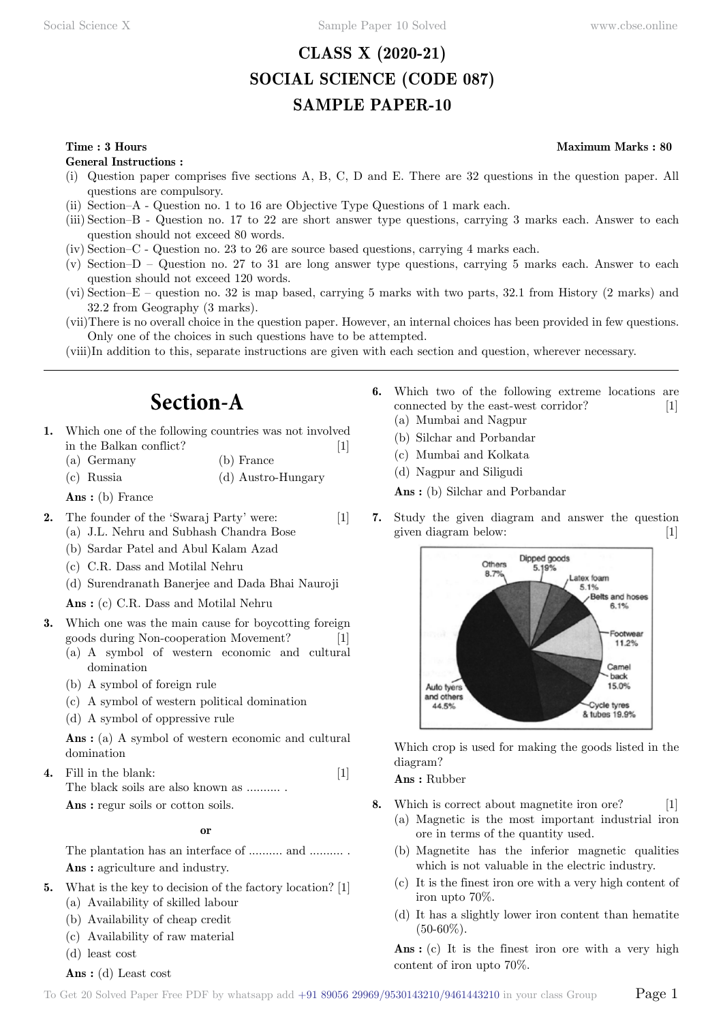# **CLASS X (2020-21) SOCIAL SCIENCE (CODE 087) SAMPLE PAPER-10**

#### **Time : 3 Hours Maximum Marks : 80**

**General Instructions :**

- (i) Question paper comprises five sections A, B, C, D and E. There are 32 questions in the question paper. All questions are compulsory.
- (ii) Section–A Question no. 1 to 16 are Objective Type Questions of 1 mark each.
- (iii) Section–B Question no. 17 to 22 are short answer type questions, carrying 3 marks each. Answer to each question should not exceed 80 words.
- (iv) Section–C Question no. 23 to 26 are source based questions, carrying 4 marks each.
- (v) Section–D Question no. 27 to 31 are long answer type questions, carrying 5 marks each. Answer to each question should not exceed 120 words.
- (vi) Section–E question no. 32 is map based, carrying 5 marks with two parts, 32.1 from History (2 marks) and 32.2 from Geography (3 marks).
- (vii)There is no overall choice in the question paper. However, an internal choices has been provided in few questions. Only one of the choices in such questions have to be attempted.
- (viii)In addition to this, separate instructions are given with each section and question, wherever necessary.

# **Section-A**

- **1.** Which one of the following countries was not involved in the Balkan conflict? [1]
	- (a) Germany (b) France
	- (c) Russia (d) Austro-Hungary

 **Ans :** (b) France

- **2.** The founder of the 'Swaraj Party' were: [1] (a) J.L. Nehru and Subhash Chandra Bose
	- (b) Sardar Patel and Abul Kalam Azad
	- (c) C.R. Dass and Motilal Nehru
	- (d) Surendranath Banerjee and Dada Bhai Nauroji

 **Ans :** (c) C.R. Dass and Motilal Nehru

- **3.** Which one was the main cause for boycotting foreign goods during Non-cooperation Movement? [1]
	- (a) A symbol of western economic and cultural domination
	- (b) A symbol of foreign rule
	- (c) A symbol of western political domination
	- (d) A symbol of oppressive rule

 **Ans :** (a) A symbol of western economic and cultural domination

**4.** Fill in the blank: [1] The black soils are also known as ...........

 **Ans :** regur soils or cotton soils.

#### **o**

The plantation has an interface of .......... and ............  **Ans :** agriculture and industry.

- **5.** What is the key to decision of the factory location? [1]
	- (a) Availability of skilled labour
	- (b) Availability of cheap credit
	- (c) Availability of raw material
	- (d) least cost

 **Ans :** (d) Least cost

- **6.** Which two of the following extreme locations are connected by the east-west corridor? [1] (a) Mumbai and Nagpur
	- (b) Silchar and Porbandar
	- (c) Mumbai and Kolkata
	- (d) Nagpur and Siligudi

 **Ans :** (b) Silchar and Porbandar

**7.** Study the given diagram and answer the question given diagram below: [1]



Which crop is used for making the goods listed in the diagram?

 **Ans :** Rubber

- **8.** Which is correct about magnetite iron ore? [1]
	- (a) Magnetic is the most important industrial iron ore in terms of the quantity used.
	- (b) Magnetite has the inferior magnetic qualities which is not valuable in the electric industry.
	- (c) It is the finest iron ore with a very high content of iron upto 70%.
	- (d) It has a slightly lower iron content than hematite  $(50-60\%).$

 **Ans :** (c) It is the finest iron ore with a very high content of iron upto 70%.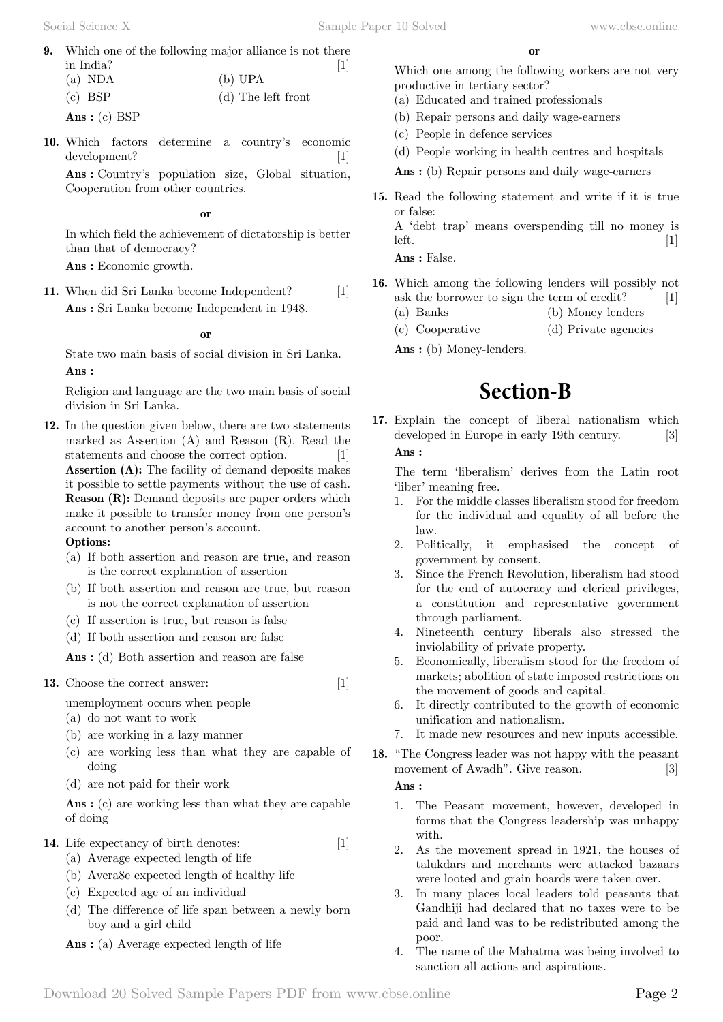**9.** Which one of the following major alliance is not there in India?  $\begin{bmatrix} 1 \end{bmatrix}$  $(a)$  NDA

| $(a)$ NDA | $(U)$ $UFA$        |
|-----------|--------------------|
| $(c)$ BSP | (d) The left front |
|           |                    |

 **Ans :** (c) BSP

**10.** Which factors determine a country's economic development? [1]

 **Ans :** Country's population size, Global situation, Cooperation from other countries.

 **o**

In which field the achievement of dictatorship is better than that of democracy?

 **Ans :** Economic growth.

**11.** When did Sri Lanka become Independent? [1]  **Ans :** Sri Lanka become Independent in 1948.

 **o**

State two main basis of social division in Sri Lanka.  **Ans :**

Religion and language are the two main basis of social division in Sri Lanka.

**12.** In the question given below, there are two statements marked as Assertion (A) and Reason (R). Read the statements and choose the correct option. [1] **Assertion (A):** The facility of demand deposits makes it possible to settle payments without the use of cash. **Reason (R):** Demand deposits are paper orders which make it possible to transfer money from one person's account to another person's account.

#### **Options:**

- (a) If both assertion and reason are true, and reason is the correct explanation of assertion
- (b) If both assertion and reason are true, but reason is not the correct explanation of assertion
- (c) If assertion is true, but reason is false
- (d) If both assertion and reason are false

 **Ans :** (d) Both assertion and reason are false

13. Choose the correct answer: [1]

unemployment occurs when people

- (a) do not want to work
- (b) are working in a lazy manner
- (c) are working less than what they are capable of doing
- (d) are not paid for their work

 **Ans :** (c) are working less than what they are capable of doing

- **14.** Life expectancy of birth denotes: [1]
	- (a) Average expected length of life
	- (b) Avera8e expected length of healthy life
	- (c) Expected age of an individual
	- (d) The difference of life span between a newly born boy and a girl child
	- **Ans :** (a) Average expected length of life

Which one among the following workers are not very productive in tertiary sector?

- (a) Educated and trained professionals
- (b) Repair persons and daily wage-earners
- (c) People in defence services
- (d) People working in health centres and hospitals

 **Ans :** (b) Repair persons and daily wage-earners

**15.** Read the following statement and write if it is true or false:

A 'debt trap' means overspending till no money is  $\text{left.} \tag{1}$ 

 **Ans :** False.

- **16.** Which among the following lenders will possibly not ask the borrower to sign the term of credit? [1] (a) Banks (b) Money lenders
	- (c) Cooperative (d) Private agencies
	-
	- **Ans :** (b) Money-lenders.

# **Section-B**

**17.** Explain the concept of liberal nationalism which developed in Europe in early 19th century. [3]  **Ans :**

The term 'liberalism' derives from the Latin root 'liber' meaning free.

- 1. For the middle classes liberalism stood for freedom for the individual and equality of all before the law.
- 2. Politically, it emphasised the concept of government by consent.
- 3. Since the French Revolution, liberalism had stood for the end of autocracy and clerical privileges, a constitution and representative government through parliament.
- 4. Nineteenth century liberals also stressed the inviolability of private property.
- 5. Economically, liberalism stood for the freedom of markets; abolition of state imposed restrictions on the movement of goods and capital.
- 6. It directly contributed to the growth of economic unification and nationalism.
- 7. It made new resources and new inputs accessible.
- **18.** "The Congress leader was not happy with the peasant movement of Awadh". Give reason. [3]

 **Ans :**

- 1. The Peasant movement, however, developed in forms that the Congress leadership was unhappy with.
- 2. As the movement spread in 1921, the houses of talukdars and merchants were attacked bazaars were looted and grain hoards were taken over.
- 3. In many places local leaders told peasants that Gandhiji had declared that no taxes were to be paid and land was to be redistributed among the poor.
- 4. The name of the Mahatma was being involved to sanction all actions and aspirations.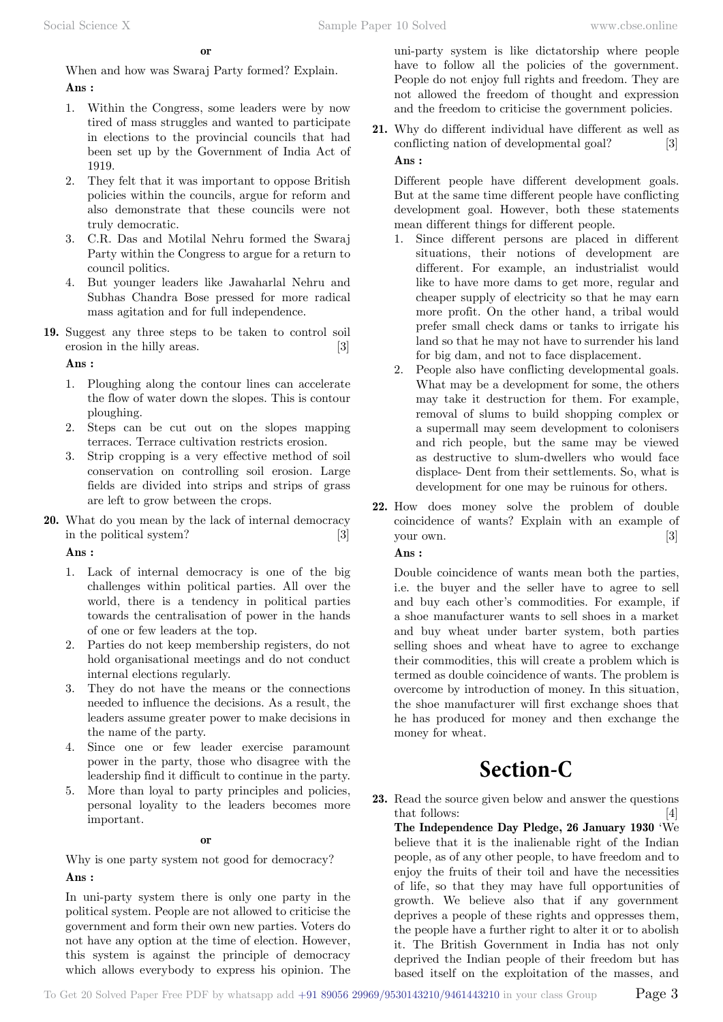When and how was Swaraj Party formed? Explain.  **Ans :**

- 1. Within the Congress, some leaders were by now tired of mass struggles and wanted to participate in elections to the provincial councils that had been set up by the Government of India Act of 1919.
- 2. They felt that it was important to oppose British policies within the councils, argue for reform and also demonstrate that these councils were not truly democratic.
- 3. C.R. Das and Motilal Nehru formed the Swaraj Party within the Congress to argue for a return to council politics.
- 4. But younger leaders like Jawaharlal Nehru and Subhas Chandra Bose pressed for more radical mass agitation and for full independence.
- **19.** Suggest any three steps to be taken to control soil erosion in the hilly areas. [3]

 **Ans :**

- 1. Ploughing along the contour lines can accelerate the flow of water down the slopes. This is contour ploughing.
- 2. Steps can be cut out on the slopes mapping terraces. Terrace cultivation restricts erosion.
- 3. Strip cropping is a very effective method of soil conservation on controlling soil erosion. Large fields are divided into strips and strips of grass are left to grow between the crops.
- **20.** What do you mean by the lack of internal democracy in the political system? [3]

 **Ans :**

- 1. Lack of internal democracy is one of the big challenges within political parties. All over the world, there is a tendency in political parties towards the centralisation of power in the hands of one or few leaders at the top.
- 2. Parties do not keep membership registers, do not hold organisational meetings and do not conduct internal elections regularly.
- 3. They do not have the means or the connections needed to influence the decisions. As a result, the leaders assume greater power to make decisions in the name of the party.
- 4. Since one or few leader exercise paramount power in the party, those who disagree with the leadership find it difficult to continue in the party.
- 5. More than loyal to party principles and policies, personal loyality to the leaders becomes more important.

 **o**

Why is one party system not good for democracy?  **Ans :**

In uni-party system there is only one party in the political system. People are not allowed to criticise the government and form their own new parties. Voters do not have any option at the time of election. However, this system is against the principle of democracy which allows everybody to express his opinion. The

uni-party system is like dictatorship where people have to follow all the policies of the government. People do not enjoy full rights and freedom. They are not allowed the freedom of thought and expression and the freedom to criticise the government policies.

**21.** Why do different individual have different as well as conflicting nation of developmental goal? [3]  **Ans :**

Different people have different development goals. But at the same time different people have conflicting development goal. However, both these statements mean different things for different people.

- 1. Since different persons are placed in different situations, their notions of development are different. For example, an industrialist would like to have more dams to get more, regular and cheaper supply of electricity so that he may earn more profit. On the other hand, a tribal would prefer small check dams or tanks to irrigate his land so that he may not have to surrender his land for big dam, and not to face displacement.
- 2. People also have conflicting developmental goals. What may be a development for some, the others may take it destruction for them. For example, removal of slums to build shopping complex or a supermall may seem development to colonisers and rich people, but the same may be viewed as destructive to slum-dwellers who would face displace- Dent from their settlements. So, what is development for one may be ruinous for others.
- **22.** How does money solve the problem of double coincidence of wants? Explain with an example of your own. [3]

## **Ans :**

Double coincidence of wants mean both the parties, i.e. the buyer and the seller have to agree to sell and buy each other's commodities. For example, if a shoe manufacturer wants to sell shoes in a market and buy wheat under barter system, both parties selling shoes and wheat have to agree to exchange their commodities, this will create a problem which is termed as double coincidence of wants. The problem is overcome by introduction of money. In this situation, the shoe manufacturer will first exchange shoes that he has produced for money and then exchange the money for wheat.

# **Section-C**

**23.** Read the source given below and answer the questions that follows: [4]

**The Independence Day Pledge, 26 January 1930** 'We believe that it is the inalienable right of the Indian people, as of any other people, to have freedom and to enjoy the fruits of their toil and have the necessities of life, so that they may have full opportunities of growth. We believe also that if any government deprives a people of these rights and oppresses them, the people have a further right to alter it or to abolish it. The British Government in India has not only deprived the Indian people of their freedom but has based itself on the exploitation of the masses, and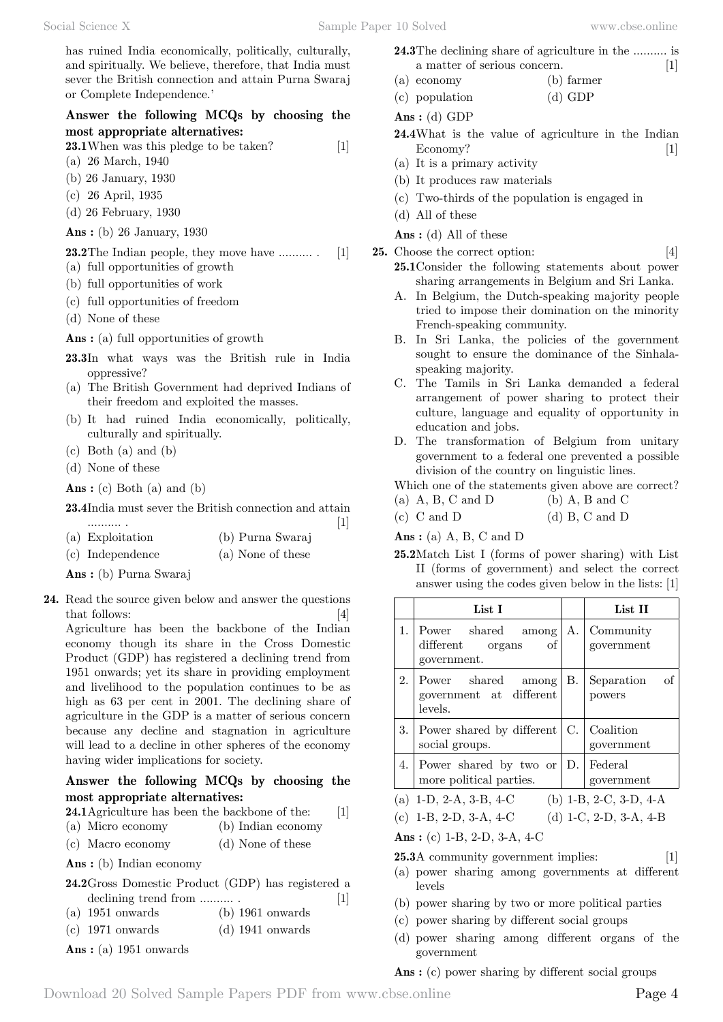has ruined India economically, politically, culturally, and spiritually. We believe, therefore, that India must sever the British connection and attain Purna Swaraj or Complete Independence.'

#### **Answer the following MCQs by choosing the most appropriate alternatives:**

**23.1**When was this pledge to be taken? [1]

- (a) 26 March, 1940
- (b) 26 January, 1930
- (c) 26 April, 1935
- (d) 26 February, 1930
- **Ans :** (b) 26 January, 1930

**23.2**The Indian people, they move have .......... . [1] (a) full opportunities of growth

- (b) full opportunities of work
- (c) full opportunities of freedom
- (d) None of these

 **Ans :** (a) full opportunities of growth

- **23.3**In what ways was the British rule in India oppressive?
- (a) The British Government had deprived Indians of their freedom and exploited the masses.
- (b) It had ruined India economically, politically, culturally and spiritually.
- (c) Both (a) and (b)
- (d) None of these
- **Ans :** (c) Both (a) and (b)

**23.4**India must sever the British connection and attain

- .......... . [1] (a) Exploitation (b) Purna Swaraj
- (c) Independence (a) None of these

 **Ans :** (b) Purna Swaraj

**24.** Read the source given below and answer the questions that follows: [4] Agriculture has been the backbone of the Indian economy though its share in the Cross Domestic Product (GDP) has registered a declining trend from 1951 onwards; yet its share in providing employment and livelihood to the population continues to be as high as 63 per cent in 2001. The declining share of

agriculture in the GDP is a matter of serious concern because any decline and stagnation in agriculture will lead to a decline in other spheres of the economy having wider implications for society.

#### **Answer the following MCQs by choosing the most appropriate alternatives:**

**24.1**Agriculture has been the backbone of the: [1]

- (a) Micro economy (b) Indian economy
- (c) Macro economy (d) None of these

 **Ans :** (b) Indian economy

- **24.2**Gross Domestic Product (GDP) has registered a declining trend from .......... . [1]
- (a) 1951 onwards (b) 1961 onwards
- (c) 1971 onwards (d) 1941 onwards
- **Ans :** (a) 1951 onwards
- **24.3**The declining share of agriculture in the .......... is a matter of serious concern. [1]
- (a) economy (b) farmer
- (c) population (d) GDP

```
 Ans : (d) GDP
```
- **24.4**What is the value of agriculture in the Indian Economy? [1]
- (a) It is a primary activity
- (b) It produces raw materials
- (c) Two-thirds of the population is engaged in
- (d) All of these
- **Ans :** (d) All of these
- **25.** Choose the correct option: [4]

- **25.1**Consider the following statements about power sharing arrangements in Belgium and Sri Lanka.
- A. In Belgium, the Dutch-speaking majority people tried to impose their domination on the minority French-speaking community.
- B. In Sri Lanka, the policies of the government sought to ensure the dominance of the Sinhalaspeaking majority.
- C. The Tamils in Sri Lanka demanded a federal arrangement of power sharing to protect their culture, language and equality of opportunity in education and jobs.
- D. The transformation of Belgium from unitary government to a federal one prevented a possible division of the country on linguistic lines.

#### Which one of the statements given above are correct?

- (a)  $A, B, C \text{ and } D$  (b)  $A, B \text{ and } C$
- (c)  $C$  and  $D$  (d)  $B$ ,  $C$  and  $D$

 **Ans :** (a) A, B, C and D

**25.2**Match List I (forms of power sharing) with List II (forms of government) and select the correct answer using the codes given below in the lists: [1]

|    | List I                                                            |    | List II                    |
|----|-------------------------------------------------------------------|----|----------------------------|
| 1. | Power shared<br>among<br>different<br>of<br>organs<br>government. | Α. | Community<br>government    |
| 2. | Power shared among<br>government at different<br>levels.          | В. | of<br>Separation<br>powers |
|    | 3. Power shared by different<br>social groups.                    | C. | Coalition<br>government    |
|    | 4. Power shared by two or<br>more political parties.              |    | D. Federal<br>government   |
|    | (a) 1-D, 2-A, 3-B, 4-C                                            |    | (b) 1-B, 2-C, 3-D, 4-A     |
|    | (c) 1-B, 2-D, 3-A, 4-C                                            |    | (d) 1-C, 2-D, 3-A, 4-B     |

 **Ans :** (c) 1-B, 2-D, 3-A, 4-C

**25.3**A community government implies: [1]

- (a) power sharing among governments at different levels
- (b) power sharing by two or more political parties
- (c) power sharing by different social groups
- (d) power sharing among different organs of the government

 **Ans :** (c) power sharing by different social groups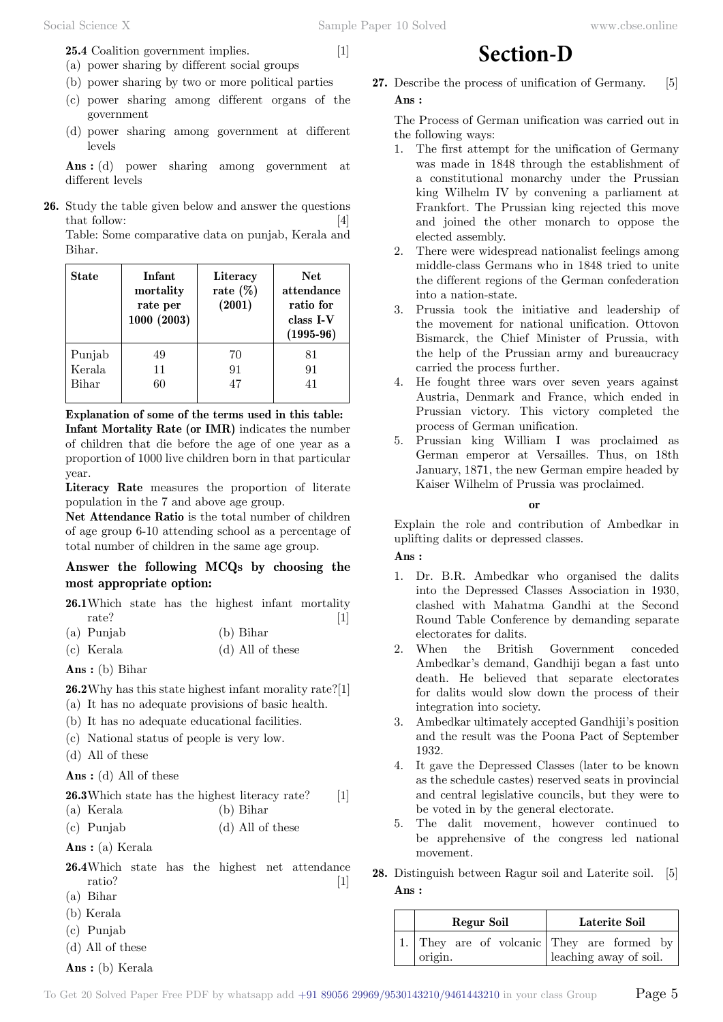**25.4** Coalition government implies. [1]

- (a) power sharing by different social groups
- (b) power sharing by two or more political parties
- (c) power sharing among different organs of the government
- (d) power sharing among government at different levels

 **Ans :** (d) power sharing among government at different levels

**26.** Study the table given below and answer the questions that follow: [4]

Table: Some comparative data on punjab, Kerala and Bihar.

| State        | Infant<br>mortality<br>rate per<br>1000(2003) | Literacy<br>rate $(\%)$<br>(2001) | Net<br>attendance<br>ratio for<br>class I-V<br>$(1995-96)$ |
|--------------|-----------------------------------------------|-----------------------------------|------------------------------------------------------------|
| Punjab       | 49                                            | 70                                | 81                                                         |
| Kerala       | 11                                            | 91                                | 91                                                         |
| <b>Bihar</b> | 60                                            | 47                                | 41                                                         |

**Explanation of some of the terms used in this table: Infant Mortality Rate (or IMR)** indicates the number of children that die before the age of one year as a proportion of 1000 live children born in that particular year.

**Literacy Rate** measures the proportion of literate population in the 7 and above age group.

**Net Attendance Ratio** is the total number of children of age group 6-10 attending school as a percentage of total number of children in the same age group.

#### **Answer the following MCQs by choosing the most appropriate option:**

**26.1**Which state has the highest infant mortality rate? [1]

- (a) Punjab (b) Bihar
- (c) Kerala (d) All of these

 **Ans :** (b) Bihar

**26.2**Why has this state highest infant morality rate?[1]

- (a) It has no adequate provisions of basic health.
- (b) It has no adequate educational facilities.
- (c) National status of people is very low.
- (d) All of these

 **Ans :** (d) All of these

**26.3**Which state has the highest literacy rate? [1]

- (a) Kerala (b) Bihar
- (c) Punjab (d) All of these
- **Ans :** (a) Kerala
- **26.4**Which state has the highest net attendance ratio? [1]
- (a) Bihar
- (b) Kerala
- (c) Punjab
- (d) All of these
- **Ans :** (b) Kerala

**27.** Describe the process of unification of Germany. [5]  **Ans :**

**Section-D**

The Process of German unification was carried out in the following ways:

- 1. The first attempt for the unification of Germany was made in 1848 through the establishment of a constitutional monarchy under the Prussian king Wilhelm IV by convening a parliament at Frankfort. The Prussian king rejected this move and joined the other monarch to oppose the elected assembly.
- 2. There were widespread nationalist feelings among middle-class Germans who in 1848 tried to unite the different regions of the German confederation into a nation-state.
- 3. Prussia took the initiative and leadership of the movement for national unification. Ottovon Bismarck, the Chief Minister of Prussia, with the help of the Prussian army and bureaucracy carried the process further.
- 4. He fought three wars over seven years against Austria, Denmark and France, which ended in Prussian victory. This victory completed the process of German unification.
- 5. Prussian king William I was proclaimed as German emperor at Versailles. Thus, on 18th January, 1871, the new German empire headed by Kaiser Wilhelm of Prussia was proclaimed.

 **o**

Explain the role and contribution of Ambedkar in uplifting dalits or depressed classes.

#### **Ans :**

- 1. Dr. B.R. Ambedkar who organised the dalits into the Depressed Classes Association in 1930, clashed with Mahatma Gandhi at the Second Round Table Conference by demanding separate electorates for dalits.
- 2. When the British Government conceded Ambedkar's demand, Gandhiji began a fast unto death. He believed that separate electorates for dalits would slow down the process of their integration into society.
- 3. Ambedkar ultimately accepted Gandhiji's position and the result was the Poona Pact of September 1932.
- 4. It gave the Depressed Classes (later to be known as the schedule castes) reserved seats in provincial and central legislative councils, but they were to be voted in by the general electorate.
- 5. The dalit movement, however continued to be apprehensive of the congress led national movement.
- **28.** Distinguish between Ragur soil and Laterite soil. [5]  **Ans :**

| Regur Soil | Laterite Soil                              |
|------------|--------------------------------------------|
|            | 1. They are of volcanic They are formed by |
| origin.    | leaching away of soil.                     |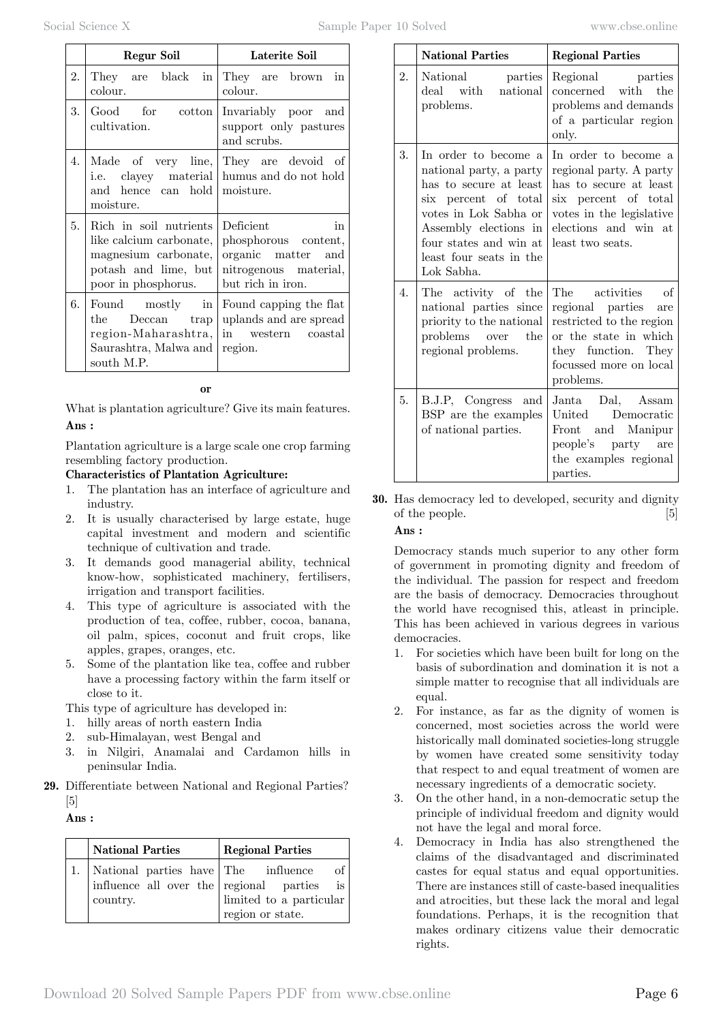|  | www.cbse.online |
|--|-----------------|
|  |                 |

|    | Regur Soil                                                                                                               | Laterite Soil                                                                                               |
|----|--------------------------------------------------------------------------------------------------------------------------|-------------------------------------------------------------------------------------------------------------|
| 2. | They are black in<br>colour.                                                                                             | They are brown in<br>colour.                                                                                |
| 3. | cultivation.                                                                                                             | Good for cotton Invariably poor and<br>support only pastures<br>and scrubs.                                 |
| 4. | and hence can hold moisture.<br>moisture.                                                                                | Made of very line, They are devoid of<br>i.e. clayey material humus and do not hold                         |
| 5. | Rich in soil nutrients<br>like calcium carbonate,<br>magnesium carbonate,<br>potash and lime, but<br>poor in phosphorus. | Deficient<br>in<br>phosphorous content,<br>organic matter and<br>nitrogenous material,<br>but rich in iron. |
| 6. | Found mostly in<br>the Deccan trap<br>Saurashtra, Malwa and region.<br>south M.P.                                        | Found capping the flat<br>uplands and are spread<br>region-Maharashtra, in western coastal                  |

 **o**

What is plantation agriculture? Give its main features.  **Ans :**

Plantation agriculture is a large scale one crop farming resembling factory production.

## **Characteristics of Plantation Agriculture:**

- 1. The plantation has an interface of agriculture and industry.
- 2. It is usually characterised by large estate, huge capital investment and modern and scientific technique of cultivation and trade.
- 3. It demands good managerial ability, technical know-how, sophisticated machinery, fertilisers, irrigation and transport facilities.
- 4. This type of agriculture is associated with the production of tea, coffee, rubber, cocoa, banana, oil palm, spices, coconut and fruit crops, like apples, grapes, oranges, etc.
- 5. Some of the plantation like tea, coffee and rubber have a processing factory within the farm itself or close to it.

This type of agriculture has developed in:

- 1. hilly areas of north eastern India
- 2. sub-Himalayan, west Bengal and
- 3. in Nilgiri, Anamalai and Cardamon hills in peninsular India.
- **29.** Differentiate between National and Regional Parties?  $\lceil 5 \rceil$

### **Ans :**

| <b>National Parties</b>                                                                    | <b>Regional Parties</b>                                               |
|--------------------------------------------------------------------------------------------|-----------------------------------------------------------------------|
| National parties have The influence<br>influence all over the regional parties<br>country. | of I<br>is l<br>$\,$ limited to a particular $\,$<br>region or state. |

|    | <b>National Parties</b>                                                                                                                                                                                                | <b>Regional Parties</b>                                                                                                                                                   |
|----|------------------------------------------------------------------------------------------------------------------------------------------------------------------------------------------------------------------------|---------------------------------------------------------------------------------------------------------------------------------------------------------------------------|
| 2. | National parties<br>deal with<br>national<br>problems.                                                                                                                                                                 | Regional parties<br>concerned with the<br>problems and demands<br>of a particular region<br>only.                                                                         |
| 3. | In order to become a<br>national party, a party<br>has to secure at least<br>six percent of total<br>votes in Lok Sabha or<br>Assembly elections in<br>four states and win at<br>least four seats in the<br>Lok Sabha. | In order to become a<br>regional party. A party<br>has to secure at least<br>six percent of total<br>votes in the legislative<br>elections and win at<br>least two seats. |
| 4. | The activity of the<br>national parties since<br>priority to the national<br>problems over the<br>regional problems.                                                                                                   | The activities of<br>regional parties are<br>restricted to the region<br>or the state in which<br>they function. They<br>focussed more on local<br>problems.              |
| 5. | B.J.P, Congress and<br>BSP are the examples<br>of national parties.                                                                                                                                                    | Janta Dal, Assam<br>United Democratic<br>Front and Manipur<br>people's party are<br>the examples regional<br>parties.                                                     |

**30.** Has democracy led to developed, security and dignity of the people. [5]

#### **Ans :**

Democracy stands much superior to any other form of government in promoting dignity and freedom of the individual. The passion for respect and freedom are the basis of democracy. Democracies throughout the world have recognised this, atleast in principle. This has been achieved in various degrees in various democracies.

- 1. For societies which have been built for long on the basis of subordination and domination it is not a simple matter to recognise that all individuals are equal.
- 2. For instance, as far as the dignity of women is concerned, most societies across the world were historically mall dominated societies-long struggle by women have created some sensitivity today that respect to and equal treatment of women are necessary ingredients of a democratic society.
- 3. On the other hand, in a non-democratic setup the principle of individual freedom and dignity would not have the legal and moral force.
- 4. Democracy in India has also strengthened the claims of the disadvantaged and discriminated castes for equal status and equal opportunities. There are instances still of caste-based inequalities and atrocities, but these lack the moral and legal foundations. Perhaps, it is the recognition that makes ordinary citizens value their democratic rights.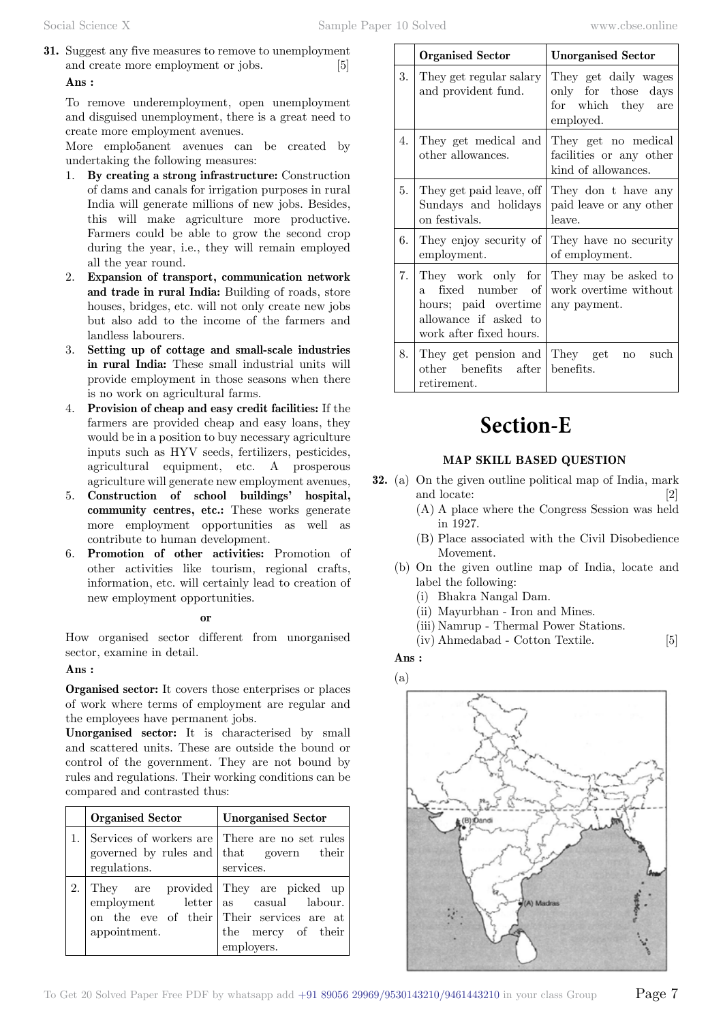**31.** Suggest any five measures to remove to unemployment and create more employment or jobs.  **Ans :**

To remove underemployment, open unemployment and disguised unemployment, there is a great need to create more employment avenues.

More emplo5anent avenues can be created by undertaking the following measures:

- 1. **By creating a strong infrastructure:** Construction of dams and canals for irrigation purposes in rural India will generate millions of new jobs. Besides, this will make agriculture more productive. Farmers could be able to grow the second crop during the year, i.e., they will remain employed all the year round.
- 2. **Expansion of transport, communication network and trade in rural India:** Building of roads, store houses, bridges, etc. will not only create new jobs but also add to the income of the farmers and landless labourers.
- 3. **Setting up of cottage and small-scale industries in rural India:** These small industrial units will provide employment in those seasons when there is no work on agricultural farms.
- 4. **Provision of cheap and easy credit facilities:** If the farmers are provided cheap and easy loans, they would be in a position to buy necessary agriculture inputs such as HYV seeds, fertilizers, pesticides, agricultural equipment, etc. A prosperous agriculture will generate new employment avenues,
- 5. **Construction of school buildings' hospital, community centres, etc.:** These works generate more employment opportunities as well as contribute to human development.
- 6. **Promotion of other activities:** Promotion of other activities like tourism, regional crafts, information, etc. will certainly lead to creation of new employment opportunities.

#### **o**

How organised sector different from unorganised sector, examine in detail.

#### **Ans :**

**Organised sector:** It covers those enterprises or places of work where terms of employment are regular and the employees have permanent jobs.

**Unorganised sector:** It is characterised by small and scattered units. These are outside the bound or control of the government. They are not bound by rules and regulations. Their working conditions can be compared and contrasted thus:

| <b>Organised Sector</b>                           | <b>Unorganised Sector</b>                                                                                                                  |
|---------------------------------------------------|--------------------------------------------------------------------------------------------------------------------------------------------|
| governed by rules and that govern<br>regulations. | Services of workers are There are no set rules<br>their<br>services.                                                                       |
| employment letter<br>appointment.                 | They are provided They are picked up<br>as casual labour.<br>on the eve of their Their services are at<br>the mercy of their<br>employers. |

|      | <b>Organised Sector</b>                                                                                                    | <b>Unorganised Sector</b>                                                      |
|------|----------------------------------------------------------------------------------------------------------------------------|--------------------------------------------------------------------------------|
| 3.   | They get regular salary<br>and provident fund.                                                                             | They get daily wages<br>only for those days<br>for which they are<br>employed. |
| 4.   | They get medical and<br>other allowances.                                                                                  | They get no medical<br>facilities or any other<br>kind of allowances.          |
| 5.   | They get paid leave, off<br>Sundays and holidays<br>on festivals.                                                          | They don t have any<br>paid leave or any other<br>leave.                       |
| 6.   | They enjoy security of<br>employment.                                                                                      | They have no security<br>of employment.                                        |
| 7.1  | They work only for<br>fixed number of<br>$a -$<br>hours; paid overtime<br>allowance if asked to<br>work after fixed hours. | They may be asked to<br>work overtime without<br>any payment.                  |
| 8. l | They get pension and They get<br>other benefits after benefits.<br>retirement.                                             | such<br>$\mathbf{n}\mathbf{o}$                                                 |

# **Section-E**

### **MAP SKILL BASED QUESTIO**

- **32.** (a) On the given outline political map of India, mark and locate: [2]
	- (A) A place where the Congress Session was held in 1927.
	- (B) Place associated with the Civil Disobedience Movement.
	- (b) On the given outline map of India, locate and label the following:
		- (i) Bhakra Nangal Dam.
		- (ii) Mayurbhan Iron and Mines.
		- (iii) Namrup Thermal Power Stations.
		- (iv) Ahmedabad Cotton Textile. [5]

## **Ans :**